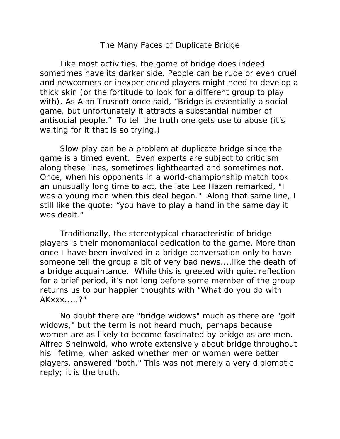## The Many Faces of Duplicate Bridge

 Like most activities, the game of bridge does indeed sometimes have its darker side. People can be rude or even cruel and newcomers or inexperienced players might need to develop a thick skin (or the fortitude to look for a different group to play with). As Alan Truscott once said, "Bridge is essentially a social game, but unfortunately it attracts a substantial number of antisocial people." To tell the truth one gets use to abuse (it's waiting for it that is so trying.)

 Slow play can be a problem at duplicate bridge since the game is a timed event. Even experts are subject to criticism along these lines, sometimes lighthearted and sometimes not. Once, when his opponents in a world-championship match took an unusually long time to act, the late Lee Hazen remarked, "I was a young man when this deal began." Along that same line, I still like the quote: "you have to play a hand in the same day it was dealt."

 Traditionally, the stereotypical characteristic of bridge players is their monomaniacal dedication to the game. More than once I have been involved in a bridge conversation only to have someone tell the group a bit of very bad news....like the death of a bridge acquaintance. While this is greeted with quiet reflection for a brief period, it's not long before some member of the group returns us to our happier thoughts with "What do you do with AKxxx.....?"

 No doubt there are "bridge widows" much as there are "golf widows," but the term is not heard much, perhaps because women are as likely to become fascinated by bridge as are men. Alfred Sheinwold, who wrote extensively about bridge throughout his lifetime, when asked whether men or women were better players, answered "both." This was not merely a very diplomatic reply; it is the truth.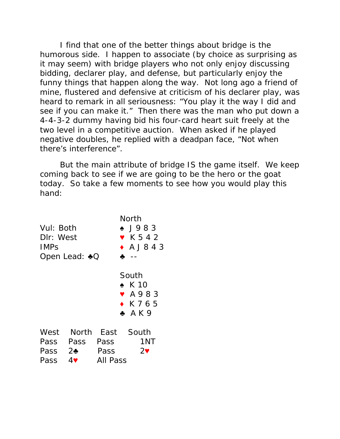I find that one of the better things about bridge is the humorous side. I happen to associate (by choice as surprising as it may seem) with bridge players who not only enjoy discussing bidding, declarer play, and defense, but particularly enjoy the funny things that happen along the way. Not long ago a friend of mine, flustered and defensive at criticism of his declarer play, was heard to remark in all seriousness: "You play it the way I did and see if you can make it." Then there was the man who put down a 4-4-3-2 dummy having bid his four-card heart suit freely at the two level in a competitive auction. When asked if he played negative doubles, he replied with a deadpan face, "Not when there's interference".

 But the main attribute of bridge IS the game itself. We keep coming back to see if we are going to be the hero or the goat today. So take a few moments to see how you would play this hand:

| Vul: Both<br>DIr: West<br><b>IMPS</b><br>Open Lead: ♣Q |                                                       |                  | North<br>$\bullet$ J983<br>$\blacktriangledown$ K 5 4 2<br>$\bullet$ A J 8 4 3<br>♣ |
|--------------------------------------------------------|-------------------------------------------------------|------------------|-------------------------------------------------------------------------------------|
|                                                        |                                                       |                  | South<br>$\bullet$ K 10<br>$\bullet$ A983<br>$\bullet$ K765<br>A K9                 |
| West<br>Pass<br>Pass                                   | Pass Pass Pass<br>$2\bullet$<br>$4\blacktriangledown$ | Pass<br>All Pass | North East South<br>1NT<br>$2\bullet$                                               |